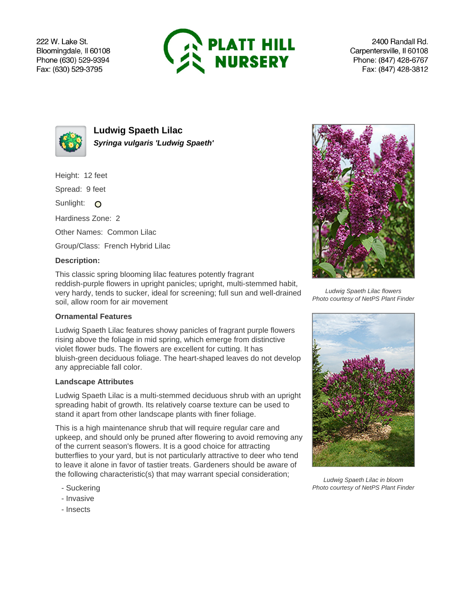222 W. Lake St. Bloomingdale, Il 60108 Phone (630) 529-9394 Fax: (630) 529-3795



2400 Randall Rd. Carpentersville, Il 60108 Phone: (847) 428-6767 Fax: (847) 428-3812



**Ludwig Spaeth Lilac Syringa vulgaris 'Ludwig Spaeth'**

Height: 12 feet

Spread: 9 feet

Sunlight: O

Hardiness Zone: 2

Other Names: Common Lilac

Group/Class: French Hybrid Lilac

## **Description:**

This classic spring blooming lilac features potently fragrant reddish-purple flowers in upright panicles; upright, multi-stemmed habit, very hardy, tends to sucker, ideal for screening; full sun and well-drained soil, allow room for air movement

## **Ornamental Features**

Ludwig Spaeth Lilac features showy panicles of fragrant purple flowers rising above the foliage in mid spring, which emerge from distinctive violet flower buds. The flowers are excellent for cutting. It has bluish-green deciduous foliage. The heart-shaped leaves do not develop any appreciable fall color.

## **Landscape Attributes**

Ludwig Spaeth Lilac is a multi-stemmed deciduous shrub with an upright spreading habit of growth. Its relatively coarse texture can be used to stand it apart from other landscape plants with finer foliage.

This is a high maintenance shrub that will require regular care and upkeep, and should only be pruned after flowering to avoid removing any of the current season's flowers. It is a good choice for attracting butterflies to your yard, but is not particularly attractive to deer who tend to leave it alone in favor of tastier treats. Gardeners should be aware of the following characteristic(s) that may warrant special consideration;

- Suckering
- Invasive
- Insects



Ludwig Spaeth Lilac flowers Photo courtesy of NetPS Plant Finder



Ludwig Spaeth Lilac in bloom Photo courtesy of NetPS Plant Finder